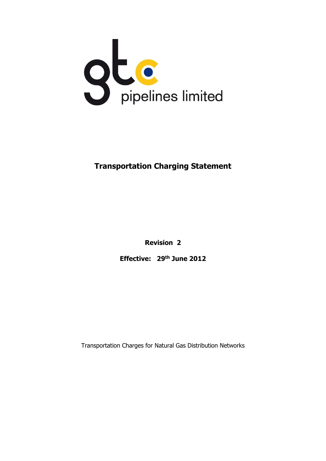

# **Transportation Charging Statement**

**Revision 2**

**Effective: 29th June 2012** 

Transportation Charges for Natural Gas Distribution Networks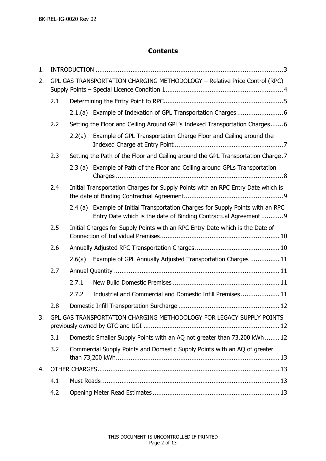# **Contents**

| 1. |                                                                            |                                                                               |                                                                                                                                                    |  |  |  |  |
|----|----------------------------------------------------------------------------|-------------------------------------------------------------------------------|----------------------------------------------------------------------------------------------------------------------------------------------------|--|--|--|--|
| 2. | GPL GAS TRANSPORTATION CHARGING METHODOLOGY - Relative Price Control (RPC) |                                                                               |                                                                                                                                                    |  |  |  |  |
|    | 2.1                                                                        |                                                                               |                                                                                                                                                    |  |  |  |  |
|    |                                                                            |                                                                               |                                                                                                                                                    |  |  |  |  |
|    | 2.2                                                                        |                                                                               | Setting the Floor and Ceiling Around GPL's Indexed Transportation Charges6                                                                         |  |  |  |  |
|    |                                                                            | 2.2(a)                                                                        | Example of GPL Transportation Charge Floor and Ceiling around the                                                                                  |  |  |  |  |
|    | 2.3                                                                        |                                                                               | Setting the Path of the Floor and Ceiling around the GPL Transportation Charge. 7                                                                  |  |  |  |  |
|    |                                                                            |                                                                               | 2.3 (a) Example of Path of the Floor and Ceiling around GPLs Transportation                                                                        |  |  |  |  |
|    | 2.4                                                                        |                                                                               | Initial Transportation Charges for Supply Points with an RPC Entry Date which is                                                                   |  |  |  |  |
|    |                                                                            |                                                                               | 2.4 (a) Example of Initial Transportation Charges for Supply Points with an RPC<br>Entry Date which is the date of Binding Contractual Agreement 9 |  |  |  |  |
|    | 2.5                                                                        | Initial Charges for Supply Points with an RPC Entry Date which is the Date of |                                                                                                                                                    |  |  |  |  |
|    | 2.6                                                                        |                                                                               |                                                                                                                                                    |  |  |  |  |
|    |                                                                            | 2.6(a)                                                                        | Example of GPL Annually Adjusted Transportation Charges  11                                                                                        |  |  |  |  |
|    | 2.7                                                                        |                                                                               |                                                                                                                                                    |  |  |  |  |
|    |                                                                            | 2.7.1                                                                         |                                                                                                                                                    |  |  |  |  |
|    |                                                                            | 2.7.2                                                                         | Industrial and Commercial and Domestic Infill Premises 11                                                                                          |  |  |  |  |
|    | 2.8                                                                        |                                                                               |                                                                                                                                                    |  |  |  |  |
| 3. | GPL GAS TRANSPORTATION CHARGING METHODOLOGY FOR LEGACY SUPPLY POINTS       |                                                                               |                                                                                                                                                    |  |  |  |  |
|    | 3.1                                                                        | Domestic Smaller Supply Points with an AQ not greater than 73,200 kWh  12     |                                                                                                                                                    |  |  |  |  |
|    | 3.2                                                                        | Commercial Supply Points and Domestic Supply Points with an AQ of greater     |                                                                                                                                                    |  |  |  |  |
| 4. |                                                                            |                                                                               |                                                                                                                                                    |  |  |  |  |
|    | 4.1                                                                        |                                                                               |                                                                                                                                                    |  |  |  |  |
|    | 4.2                                                                        |                                                                               |                                                                                                                                                    |  |  |  |  |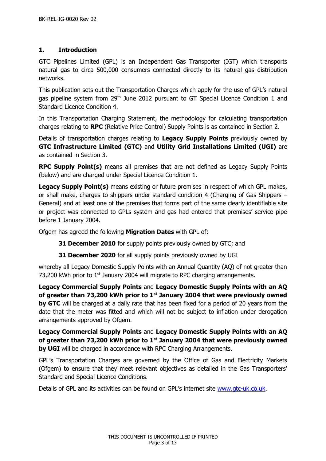# <span id="page-2-0"></span>**1. Introduction**

GTC Pipelines Limited (GPL) is an Independent Gas Transporter (IGT) which transports natural gas to circa 500,000 consumers connected directly to its natural gas distribution networks.

This publication sets out the Transportation Charges which apply for the use of GPL's natural gas pipeline system from 29<sup>th</sup> June 2012 pursuant to GT Special Licence Condition 1 and Standard Licence Condition 4.

In this Transportation Charging Statement, the methodology for calculating transportation charges relating to **RPC** (Relative Price Control) Supply Points is as contained in Section 2.

Details of transportation charges relating to **Legacy Supply Points** previously owned by **GTC Infrastructure Limited (GTC)** and **Utility Grid Installations Limited (UGI)** are as contained in Section 3.

**RPC Supply Point(s)** means all premises that are not defined as Legacy Supply Points (below) and are charged under Special Licence Condition 1.

Legacy Supply Point(s) means existing or future premises in respect of which GPL makes, or shall make, charges to shippers under standard condition 4 (Charging of Gas Shippers – General) and at least one of the premises that forms part of the same clearly identifiable site or project was connected to GPLs system and gas had entered that premises' service pipe before 1 January 2004.

Ofgem has agreed the following **Migration Dates** with GPL of:

**31 December 2010** for supply points previously owned by GTC; and

**31 December 2020** for all supply points previously owned by UGI

whereby all Legacy Domestic Supply Points with an Annual Quantity (AQ) of not greater than 73,200 kWh prior to  $1<sup>st</sup>$  January 2004 will migrate to RPC charging arrangements.

**Legacy Commercial Supply Points** and **Legacy Domestic Supply Points with an AQ of greater than 73,200 kWh prior to 1st January 2004 that were previously owned by GTC** will be charged at a daily rate that has been fixed for a period of 20 years from the date that the meter was fitted and which will not be subject to inflation under derogation arrangements approved by Ofgem.

**Legacy Commercial Supply Points** and **Legacy Domestic Supply Points with an AQ of greater than 73,200 kWh prior to 1st January 2004 that were previously owned by UGI** will be charged in accordance with RPC Charging Arrangements.

GPL's Transportation Charges are governed by the Office of Gas and Electricity Markets (Ofgem) to ensure that they meet relevant objectives as detailed in the Gas Transporters' Standard and Special Licence Conditions.

Details of GPL and its activities can be found on GPL's internet site [www.gtc-uk.co.uk.](http://www.gtc-uk.co.uk/)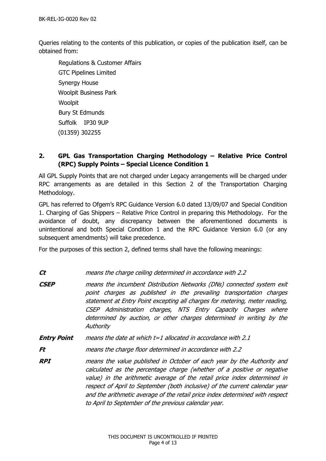Queries relating to the contents of this publication, or copies of the publication itself, can be obtained from:

Regulations & Customer Affairs GTC Pipelines Limited Synergy House Woolpit Business Park Woolpit Bury St Edmunds Suffolk IP30 9UP (01359) 302255

# <span id="page-3-0"></span>**2. GPL Gas Transportation Charging Methodology – Relative Price Control (RPC) Supply Points – Special Licence Condition 1**

All GPL Supply Points that are not charged under Legacy arrangements will be charged under RPC arrangements as are detailed in this Section 2 of the Transportation Charging Methodology.

GPL has referred to Ofgem's RPC Guidance Version 6.0 dated 13/09/07 and Special Condition 1. Charging of Gas Shippers – Relative Price Control in preparing this Methodology. For the avoidance of doubt, any discrepancy between the aforementioned documents is unintentional and both Special Condition 1 and the RPC Guidance Version 6.0 (or any subsequent amendments) will take precedence.

For the purposes of this section 2, defined terms shall have the following meanings:

**Ct** means the charge ceiling determined in accordance with 2.2

- **CSEP** means the incumbent Distribution Networks (DNs) connected system exit point charges as published in the prevailing transportation charges statement at Entry Point excepting all charges for metering, meter reading, CSEP Administration charges, NTS Entry Capacity Charges where determined by auction, or other charges determined in writing by the **Authority**
- **Entry Point** means the date at which t=1 allocated in accordance with 2.1

**Ft** means the charge floor determined in accordance with 2.2

**RPI** means the value published in October of each year by the Authority and calculated as the percentage charge (whether of a positive or negative value) in the arithmetic average of the retail price index determined in respect of April to September (both inclusive) of the current calendar year and the arithmetic average of the retail price index determined with respect to April to September of the previous calendar year.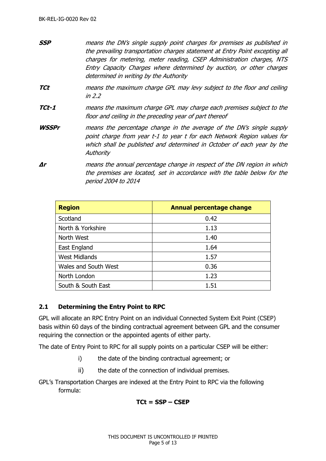- **SSP** means the DN's single supply point charges for premises as published in the prevailing transportation charges statement at Entry Point excepting all charges for metering, meter reading, CSEP Administration charges, NTS Entry Capacity Charges where determined by auction, or other charges determined in writing by the Authority
- **TCt** means the maximum charge GPL may levy subject to the floor and ceiling in 2.2
- **TCt-1** means the maximum charge GPL may charge each premises subject to the floor and ceiling in the preceding year of part thereof
- **WSSPr** means the percentage change in the average of the DN's single supply point charge from year t-1 to year t for each Network Region values for which shall be published and determined in October of each year by the **Authority**
- **∆r** means the annual percentage change in respect of the DN region in which the premises are located, set in accordance with the table below for the period 2004 to 2014

| <b>Region</b>        | <b>Annual percentage change</b> |
|----------------------|---------------------------------|
| Scotland             | 0.42                            |
| North & Yorkshire    | 1.13                            |
| North West           | 1.40                            |
| East England         | 1.64                            |
| <b>West Midlands</b> | 1.57                            |
| Wales and South West | 0.36                            |
| North London         | 1.23                            |
| South & South East   | 1.51                            |

### <span id="page-4-0"></span>**2.1 Determining the Entry Point to RPC**

GPL will allocate an RPC Entry Point on an individual Connected System Exit Point (CSEP) basis within 60 days of the binding contractual agreement between GPL and the consumer requiring the connection or the appointed agents of either party.

The date of Entry Point to RPC for all supply points on a particular CSEP will be either:

- i) the date of the binding contractual agreement; or
- ii) the date of the connection of individual premises.

GPL's Transportation Charges are indexed at the Entry Point to RPC via the following formula:

### **TCt = SSP – CSEP**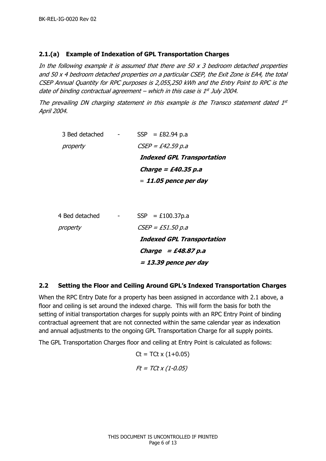## <span id="page-5-0"></span>**2.1.(a) Example of Indexation of GPL Transportation Charges**

In the following example it is assumed that there are 50  $x$  3 bedroom detached properties and 50 x 4 bedroom detached properties on a particular CSEP, the Exit Zone is EA4, the total CSEP Annual Quantity for RPC purposes is 2,055,250 kWh and the Entry Point to RPC is the date of binding contractual agreement – which in this case is 1st July 2004.

The prevailing DN charging statement in this example is the Transco statement dated  $1<sup>st</sup>$ April 2004.

| 3 Bed detached | $SSP = £82.94 p.a$                |
|----------------|-----------------------------------|
| property       | $CSEP = £42.59 p.a$               |
|                | <b>Indexed GPL Transportation</b> |
|                | Charge = £40.35 p.a               |
|                | $= 11.05$ pence per day           |

| 4 Bed detached | $SSP = £100.37p.a$                |
|----------------|-----------------------------------|
| property       | $CSEP = £51.50 p.a$               |
|                | <b>Indexed GPL Transportation</b> |
|                | Charge $=$ £48.87 p.a             |
|                | $= 13.39$ pence per day           |

### <span id="page-5-1"></span>**2.2 Setting the Floor and Ceiling Around GPL's Indexed Transportation Charges**

When the RPC Entry Date for a property has been assigned in accordance with 2.1 above, a floor and ceiling is set around the indexed charge. This will form the basis for both the setting of initial transportation charges for supply points with an RPC Entry Point of binding contractual agreement that are not connected within the same calendar year as indexation and annual adjustments to the ongoing GPL Transportation Charge for all supply points.

The GPL Transportation Charges floor and ceiling at Entry Point is calculated as follows:

$$
Ct = T Ct \times (1+0.05)
$$
  

$$
Ft = T Ct \times (1-0.05)
$$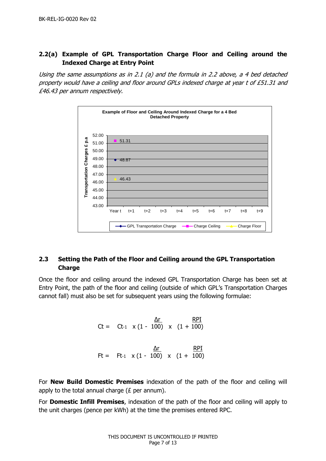# <span id="page-6-0"></span>**2.2(a) Example of GPL Transportation Charge Floor and Ceiling around the Indexed Charge at Entry Point**

Using the same assumptions as in 2.1 (a) and the formula in 2.2 above, a 4 bed detached property would have a ceiling and floor around GPLs indexed charge at year t of £51.31 and £46.43 per annum respectively.



# <span id="page-6-1"></span>**2.3 Setting the Path of the Floor and Ceiling around the GPL Transportation Charge**

Once the floor and ceiling around the indexed GPL Transportation Charge has been set at Entry Point, the path of the floor and ceiling (outside of which GPL's Transportation Charges cannot fall) must also be set for subsequent years using the following formulae:

> ∆r RPI  $Ct = Ct-1 \times (1 - 100) \times (1 + 100)$  ∆r RPI Ft = Ft-1  $\times$  (1 - 100)  $\times$  (1 + 100)

For **New Build Domestic Premises** indexation of the path of the floor and ceiling will apply to the total annual charge ( $E$  per annum).

For **Domestic Infill Premises**, indexation of the path of the floor and ceiling will apply to the unit charges (pence per kWh) at the time the premises entered RPC.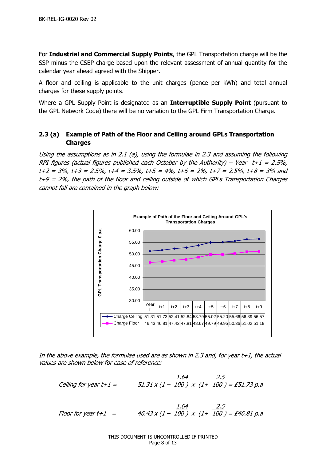For **Industrial and Commercial Supply Points**, the GPL Transportation charge will be the SSP minus the CSEP charge based upon the relevant assessment of annual quantity for the calendar year ahead agreed with the Shipper.

A floor and ceiling is applicable to the unit charges (pence per kWh) and total annual charges for these supply points.

Where a GPL Supply Point is designated as an **Interruptible Supply Point** (pursuant to the GPL Network Code) there will be no variation to the GPL Firm Transportation Charge.

# <span id="page-7-0"></span>**2.3 (a) Example of Path of the Floor and Ceiling around GPLs Transportation Charges**

Using the assumptions as in 2.1 (a), using the formulae in 2.3 and assuming the following RPI figures (actual figures published each October by the Authority) – Year  $t+1 = 2.5\%$ ,  $t+2 = 3\%$ ,  $t+3 = 2.5\%$ ,  $t+4 = 3.5\%$ ,  $t+5 = 4\%$ ,  $t+6 = 2\%$ ,  $t+7 = 2.5\%$ ,  $t+8 = 3\%$  and t+9 = 2%, the path of the floor and ceiling outside of which GPLs Transportation Charges cannot fall are contained in the graph below:



In the above example, the formulae used are as shown in 2.3 and, for year  $t+1$ , the actual values are shown below for ease of reference:

$$
\text{Ceiling for year } t+1 = \frac{1.64}{51.31 \times (1-100)} \times (1+\frac{2.5}{100}) = \text{\textsterling}51.73 \text{ p.a}
$$

 1.64 2.5 Floor for year t+1 = 46.43 x (1 – 100 ) x (1+ 100 ) = £46.81 p.a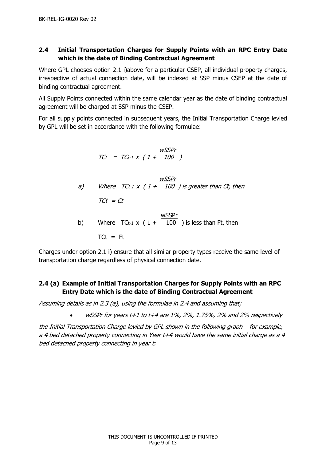# <span id="page-8-0"></span>**2.4 Initial Transportation Charges for Supply Points with an RPC Entry Date which is the date of Binding Contractual Agreement**

Where GPL chooses option 2.1 i)above for a particular CSEP, all individual property charges, irrespective of actual connection date, will be indexed at SSP minus CSEP at the date of binding contractual agreement.

All Supply Points connected within the same calendar year as the date of binding contractual agreement will be charged at SSP minus the CSEP.

For all supply points connected in subsequent years, the Initial Transportation Charge levied by GPL will be set in accordance with the following formulae:

$$
TC_{t} = TC_{t-1} \times (1 + \frac{wSSPr}{100})
$$
\n18.1

\n19.2

\n10.3

\n10.4

\n11.4

\n10.5

\n11.6

\n11.7

\n12.8

\n13.9

\n14.100

\n15.10

\n16.11

\n17.12

\n18.13

\n19.14

\n10.15

\n10.16

\n11.17

\n11.18

\n12.19

\n13.19

\n14.100

\n15.19

\n16.19

\n17.10

\n18.10

\n19.11

\n10.10

\n11.10

\n12.11

\n13.10

\n14.100

\n15.10

\n16.11

\n17.11

\n18.12

\n19.13

\n10.14

\n11.10

\n11.10

\n12.11

\n13.10

\n14.100

\n15.10

\n16.11

\n17.11

\n18.12

\n19.13

\n10.15

\n10.16

\n11.17

\n12.18

\n13.10

\n14.100

\n15.10

\n16.10

\n17.11

\n18.12

\n19.13

\n10.10

\n11.10

\n12.11

\n13.10

\n14.100

\n15.10

\n16.1

 $T$ Ct = Ft

Charges under option 2.1 i) ensure that all similar property types receive the same level of transportation charge regardless of physical connection date.

# <span id="page-8-1"></span>**2.4 (a) Example of Initial Transportation Charges for Supply Points with an RPC Entry Date which is the date of Binding Contractual Agreement**

Assuming details as in 2.3 (a), using the formulae in 2.4 and assuming that;

 $wSSPr$  for years t+1 to t+4 are 1%, 2%, 1.75%, 2% and 2% respectively

the Initial Transportation Charge levied by GPL shown in the following graph – for example, a 4 bed detached property connecting in Year t+4 would have the same initial charge as a 4 bed detached property connecting in year t: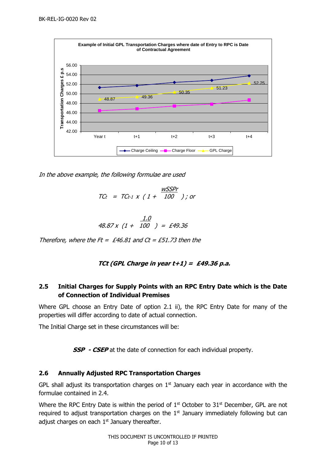

In the above example, the following formulae are used

$$
TCt = TCt-1 \times (1 + \frac{WSSPr}{100})
$$
; or

$$
\frac{1.0}{48.87 \times (1 + 100)} = \text{£}49.36
$$

Therefore, where the Ft = £46.81 and  $Ct = \text{\textsterling}51.73$  then the

### **TCt (GPL Charge in year t+1) = £49.36 p.a.**

# <span id="page-9-0"></span>**2.5 Initial Charges for Supply Points with an RPC Entry Date which is the Date of Connection of Individual Premises**

Where GPL choose an Entry Date of option 2.1 ii), the RPC Entry Date for many of the properties will differ according to date of actual connection.

The Initial Charge set in these circumstances will be:

**SSP - CSEP** at the date of connection for each individual property.

# <span id="page-9-1"></span>**2.6 Annually Adjusted RPC Transportation Charges**

GPL shall adjust its transportation charges on  $1<sup>st</sup>$  January each year in accordance with the formulae contained in 2.4.

Where the RPC Entry Date is within the period of 1<sup>st</sup> October to 31<sup>st</sup> December, GPL are not required to adjust transportation charges on the  $1<sup>st</sup>$  January immediately following but can adjust charges on each  $1<sup>st</sup>$  January thereafter.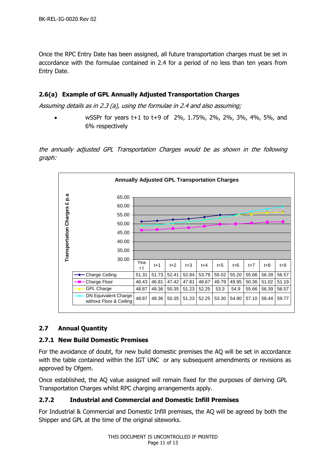Once the RPC Entry Date has been assigned, all future transportation charges must be set in accordance with the formulae contained in 2.4 for a period of no less than ten years from Entry Date.

## <span id="page-10-0"></span>**2.6(a) Example of GPL Annually Adjusted Transportation Charges**

Assuming details as in 2.3 (a), using the formulae in 2.4 and also assuming;

• wSSPr for years t+1 to t+9 of 2%, 1.75%, 2%, 2%, 3%, 4%, 5%, and 6% respectively

the annually adjusted GPL Transportation Charges would be as shown in the following graph:



### <span id="page-10-1"></span>**2.7 Annual Quantity**

### <span id="page-10-2"></span>**2.7.1 New Build Domestic Premises**

For the avoidance of doubt, for new build domestic premises the AQ will be set in accordance with the table contained within the IGT UNC or any subsequent amendments or revisions as approved by Ofgem.

Once established, the AQ value assigned will remain fixed for the purposes of deriving GPL Transportation Charges whilst RPC charging arrangements apply.

### <span id="page-10-3"></span>**2.7.2 Industrial and Commercial and Domestic Infill Premises**

For Industrial & Commercial and Domestic Infill premises, the AQ will be agreed by both the Shipper and GPL at the time of the original siteworks.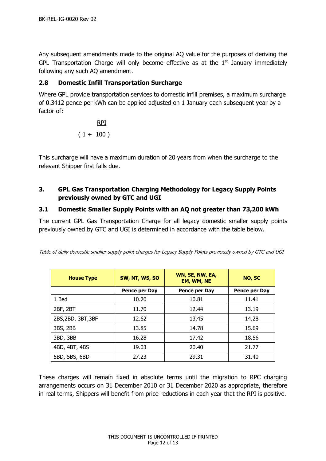Any subsequent amendments made to the original AQ value for the purposes of deriving the GPL Transportation Charge will only become effective as at the  $1<sup>st</sup>$  January immediately following any such AQ amendment.

#### <span id="page-11-0"></span>**2.8 Domestic Infill Transportation Surcharge**

Where GPL provide transportation services to domestic infill premises, a maximum surcharge of 0.3412 pence per kWh can be applied adjusted on 1 January each subsequent year by a factor of:

$$
\frac{RPI}{(1 + 100)}
$$

This surcharge will have a maximum duration of 20 years from when the surcharge to the relevant Shipper first falls due.

# <span id="page-11-1"></span>**3. GPL Gas Transportation Charging Methodology for Legacy Supply Points previously owned by GTC and UGI**

#### <span id="page-11-2"></span>**3.1 Domestic Smaller Supply Points with an AQ not greater than 73,200 kWh**

The current GPL Gas Transportation Charge for all legacy domestic smaller supply points previously owned by GTC and UGI is determined in accordance with the table below.

| <b>House Type</b>  | SW, NT, WS, SO | WN, SE, NW, EA,<br>EM, WM, NE | NO, SC        |
|--------------------|----------------|-------------------------------|---------------|
|                    | Pence per Day  | Pence per Day                 | Pence per Day |
| 1 Bed              | 10.20          | 10.81                         | 11.41         |
| 2BF, 2BT           | 11.70          | 12.44                         | 13.19         |
| 2BS, 2BD, 3BT, 3BF | 12.62          | 13.45                         | 14.28         |
| 3BS, 2BB           | 13.85          | 14.78                         | 15.69         |
| 3BD, 3BB           | 16.28          | 17.42                         | 18.56         |
| 4BD, 4BT, 4BS      | 19.03          | 20.40                         | 21.77         |
| 5BD, 5BS, 6BD      | 27.23          | 29.31                         | 31.40         |

Table of daily domestic smaller supply point charges for Legacy Supply Points previously owned by GTC and UGI

These charges will remain fixed in absolute terms until the migration to RPC charging arrangements occurs on 31 December 2010 or 31 December 2020 as appropriate, therefore in real terms, Shippers will benefit from price reductions in each year that the RPI is positive.